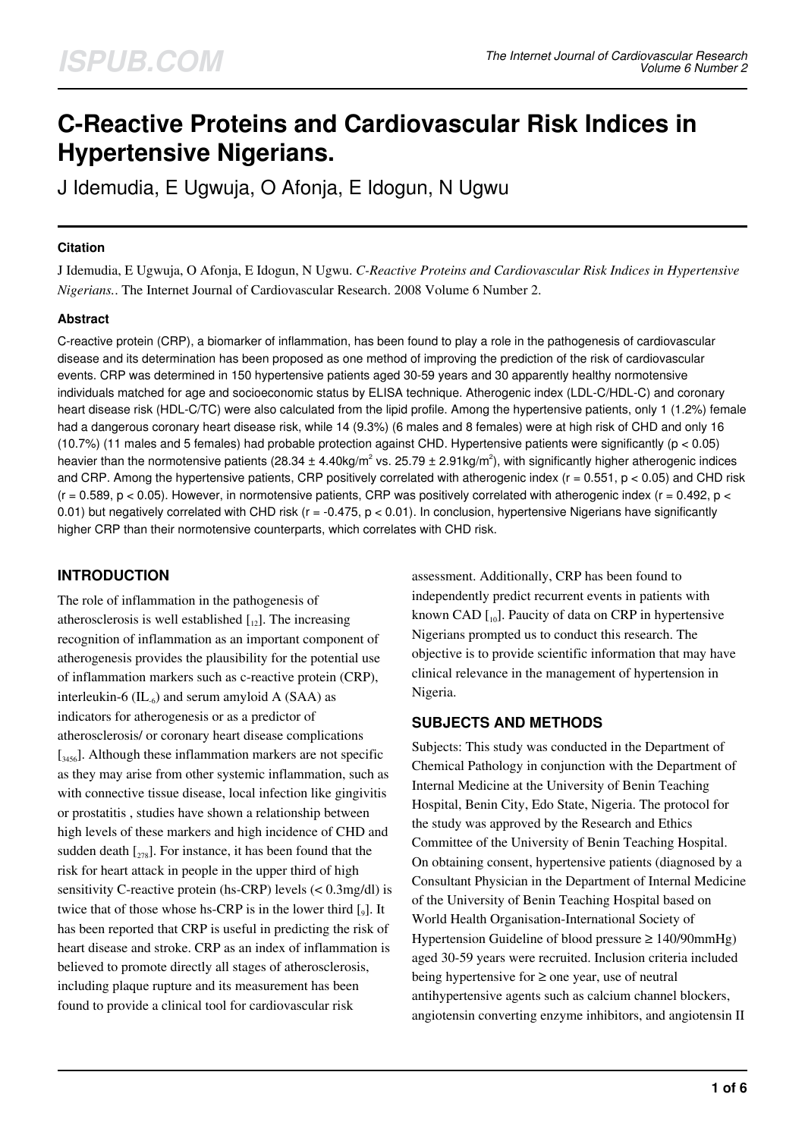# **C-Reactive Proteins and Cardiovascular Risk Indices in Hypertensive Nigerians.**

J Idemudia, E Ugwuja, O Afonja, E Idogun, N Ugwu

#### **Citation**

J Idemudia, E Ugwuja, O Afonja, E Idogun, N Ugwu. *C-Reactive Proteins and Cardiovascular Risk Indices in Hypertensive Nigerians.*. The Internet Journal of Cardiovascular Research. 2008 Volume 6 Number 2.

#### **Abstract**

C-reactive protein (CRP), a biomarker of inflammation, has been found to play a role in the pathogenesis of cardiovascular disease and its determination has been proposed as one method of improving the prediction of the risk of cardiovascular events. CRP was determined in 150 hypertensive patients aged 30-59 years and 30 apparently healthy normotensive individuals matched for age and socioeconomic status by ELISA technique. Atherogenic index (LDL-C/HDL-C) and coronary heart disease risk (HDL-C/TC) were also calculated from the lipid profile. Among the hypertensive patients, only 1 (1.2%) female had a dangerous coronary heart disease risk, while 14 (9.3%) (6 males and 8 females) were at high risk of CHD and only 16 (10.7%) (11 males and 5 females) had probable protection against CHD. Hypertensive patients were significantly ( $p < 0.05$ ) heavier than the normotensive patients (28.34  $\pm$  4.40kg/m<sup>2</sup> vs. 25.79  $\pm$  2.91kg/m<sup>2</sup>), with significantly higher atherogenic indices and CRP. Among the hypertensive patients, CRP positively correlated with atherogenic index ( $r = 0.551$ ,  $p < 0.05$ ) and CHD risk  $(r = 0.589, p < 0.05)$ . However, in normotensive patients, CRP was positively correlated with atherogenic index  $(r = 0.492, p <$ 0.01) but negatively correlated with CHD risk ( $r = -0.475$ ,  $p < 0.01$ ). In conclusion, hypertensive Nigerians have significantly higher CRP than their normotensive counterparts, which correlates with CHD risk.

# **INTRODUCTION**

The role of inflammation in the pathogenesis of atherosclerosis is well established  $\begin{bmatrix} 1 \\ 12 \end{bmatrix}$ . The increasing recognition of inflammation as an important component of atherogenesis provides the plausibility for the potential use of inflammation markers such as c-reactive protein (CRP), interleukin-6  $(IL_6)$  and serum amyloid A (SAA) as indicators for atherogenesis or as a predictor of atherosclerosis/ or coronary heart disease complications [<sub>3456</sub>]. Although these inflammation markers are not specific as they may arise from other systemic inflammation, such as with connective tissue disease, local infection like gingivitis or prostatitis , studies have shown a relationship between high levels of these markers and high incidence of CHD and sudden death  $\left[\begin{smallmatrix} 278 \end{smallmatrix}\right]$ . For instance, it has been found that the risk for heart attack in people in the upper third of high sensitivity C-reactive protein (hs-CRP) levels (< 0.3mg/dl) is twice that of those whose hs-CRP is in the lower third  $\left[\right]$ . It has been reported that CRP is useful in predicting the risk of heart disease and stroke. CRP as an index of inflammation is believed to promote directly all stages of atherosclerosis, including plaque rupture and its measurement has been found to provide a clinical tool for cardiovascular risk

assessment. Additionally, CRP has been found to independently predict recurrent events in patients with known CAD  $\left[ \begin{array}{c} 1 \\ 0 \end{array} \right]$ . Paucity of data on CRP in hypertensive Nigerians prompted us to conduct this research. The objective is to provide scientific information that may have clinical relevance in the management of hypertension in Nigeria.

#### **SUBJECTS AND METHODS**

Subjects: This study was conducted in the Department of Chemical Pathology in conjunction with the Department of Internal Medicine at the University of Benin Teaching Hospital, Benin City, Edo State, Nigeria. The protocol for the study was approved by the Research and Ethics Committee of the University of Benin Teaching Hospital. On obtaining consent, hypertensive patients (diagnosed by a Consultant Physician in the Department of Internal Medicine of the University of Benin Teaching Hospital based on World Health Organisation-International Society of Hypertension Guideline of blood pressure ≥ 140/90mmHg) aged 30-59 years were recruited. Inclusion criteria included being hypertensive for  $\geq$  one year, use of neutral antihypertensive agents such as calcium channel blockers, angiotensin converting enzyme inhibitors, and angiotensin II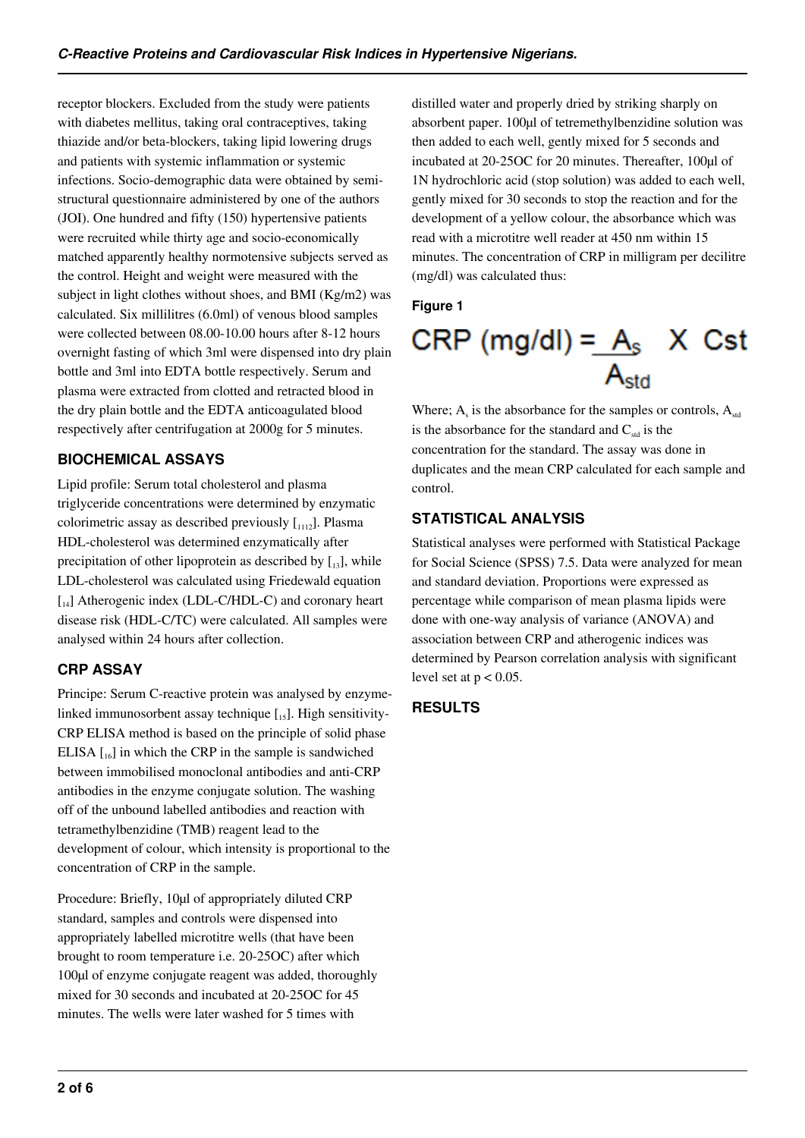receptor blockers. Excluded from the study were patients with diabetes mellitus, taking oral contraceptives, taking thiazide and/or beta-blockers, taking lipid lowering drugs and patients with systemic inflammation or systemic infections. Socio-demographic data were obtained by semistructural questionnaire administered by one of the authors (JOI). One hundred and fifty (150) hypertensive patients were recruited while thirty age and socio-economically matched apparently healthy normotensive subjects served as the control. Height and weight were measured with the subject in light clothes without shoes, and BMI (Kg/m2) was calculated. Six millilitres (6.0ml) of venous blood samples were collected between 08.00-10.00 hours after 8-12 hours overnight fasting of which 3ml were dispensed into dry plain bottle and 3ml into EDTA bottle respectively. Serum and plasma were extracted from clotted and retracted blood in the dry plain bottle and the EDTA anticoagulated blood respectively after centrifugation at 2000g for 5 minutes.

# **BIOCHEMICAL ASSAYS**

Lipid profile: Serum total cholesterol and plasma triglyceride concentrations were determined by enzymatic colorimetric assay as described previously  $\begin{bmatrix} 1 & 0 \\ 0 & 1 \end{bmatrix}$ . Plasma HDL-cholesterol was determined enzymatically after precipitation of other lipoprotein as described by  $[13]$ , while LDL-cholesterol was calculated using Friedewald equation [14] Atherogenic index (LDL-C/HDL-C) and coronary heart disease risk (HDL-C/TC) were calculated. All samples were analysed within 24 hours after collection.

# **CRP ASSAY**

Principe: Serum C-reactive protein was analysed by enzymelinked immunosorbent assay technique  $\left[1,5\right]$ . High sensitivity-CRP ELISA method is based on the principle of solid phase ELISA  $\left[\begin{smallmatrix} 1 & 0 \\ 0 & 1 \end{smallmatrix}\right]$  in which the CRP in the sample is sandwiched between immobilised monoclonal antibodies and anti-CRP antibodies in the enzyme conjugate solution. The washing off of the unbound labelled antibodies and reaction with tetramethylbenzidine (TMB) reagent lead to the development of colour, which intensity is proportional to the concentration of CRP in the sample.

Procedure: Briefly, 10µl of appropriately diluted CRP standard, samples and controls were dispensed into appropriately labelled microtitre wells (that have been brought to room temperature i.e. 20-25OC) after which 100µl of enzyme conjugate reagent was added, thoroughly mixed for 30 seconds and incubated at 20-25OC for 45 minutes. The wells were later washed for 5 times with

distilled water and properly dried by striking sharply on absorbent paper. 100µl of tetremethylbenzidine solution was then added to each well, gently mixed for 5 seconds and incubated at 20-25OC for 20 minutes. Thereafter, 100µl of 1N hydrochloric acid (stop solution) was added to each well, gently mixed for 30 seconds to stop the reaction and for the development of a yellow colour, the absorbance which was read with a microtitre well reader at 450 nm within 15 minutes. The concentration of CRP in milligram per decilitre (mg/dl) was calculated thus:

### **Figure 1**

# CRP (mg/dl) =  $A_s$  X Cst

Where;  $A_s$  is the absorbance for the samples or controls,  $A_{std}$ is the absorbance for the standard and  $C_{std}$  is the concentration for the standard. The assay was done in duplicates and the mean CRP calculated for each sample and control.

# **STATISTICAL ANALYSIS**

Statistical analyses were performed with Statistical Package for Social Science (SPSS) 7.5. Data were analyzed for mean and standard deviation. Proportions were expressed as percentage while comparison of mean plasma lipids were done with one-way analysis of variance (ANOVA) and association between CRP and atherogenic indices was determined by Pearson correlation analysis with significant level set at  $p < 0.05$ .

# **RESULTS**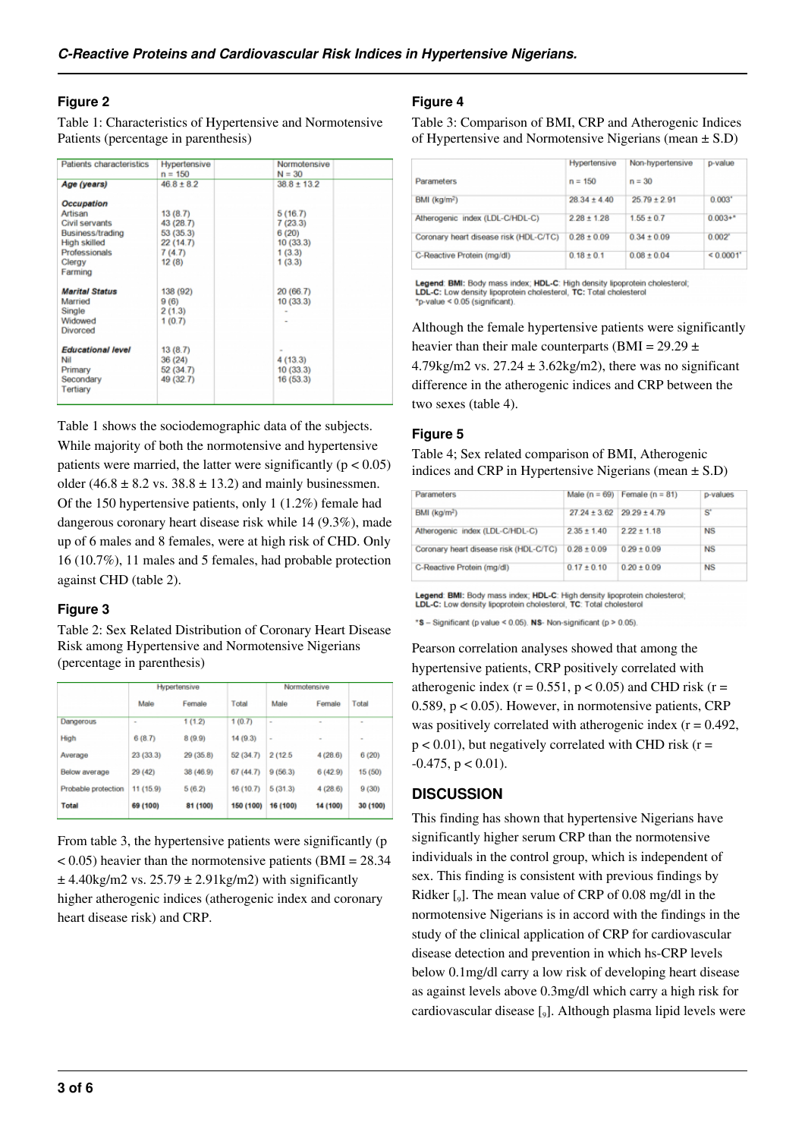#### **Figure 2**

Table 1: Characteristics of Hypertensive and Normotensive Patients (percentage in parenthesis)

| Hypertensive | Normotensive                                                               |                                                                            |
|--------------|----------------------------------------------------------------------------|----------------------------------------------------------------------------|
|              |                                                                            |                                                                            |
|              |                                                                            |                                                                            |
|              |                                                                            |                                                                            |
| 13(8.7)      | 5(16.7)                                                                    |                                                                            |
| 43 (28.7)    | 7(23.3)                                                                    |                                                                            |
| 53(35.3)     | 6(20)                                                                      |                                                                            |
| 22(14.7)     | 10(33.3)                                                                   |                                                                            |
| 7(4.7)       | 1(3.3)                                                                     |                                                                            |
| 12(8)        | 1(3.3)                                                                     |                                                                            |
|              |                                                                            |                                                                            |
| 138 (92)     | 20 (66.7)                                                                  |                                                                            |
| 9(6)         |                                                                            |                                                                            |
| 2(1.3)       |                                                                            |                                                                            |
| 1(0.7)       |                                                                            |                                                                            |
|              |                                                                            |                                                                            |
|              |                                                                            |                                                                            |
|              |                                                                            |                                                                            |
|              |                                                                            |                                                                            |
|              |                                                                            |                                                                            |
|              |                                                                            |                                                                            |
|              | $n = 150$<br>$46.8 \pm 8.2$<br>13(8.7)<br>36 (24)<br>52(34.7)<br>49 (32.7) | $N = 30$<br>$38.8 \pm 13.2$<br>10(33.3)<br>4(13.3)<br>10(33.3)<br>16(53.3) |

Table 1 shows the sociodemographic data of the subjects. While majority of both the normotensive and hypertensive patients were married, the latter were significantly  $(p < 0.05)$ older (46.8  $\pm$  8.2 vs. 38.8  $\pm$  13.2) and mainly businessmen. Of the 150 hypertensive patients, only 1 (1.2%) female had dangerous coronary heart disease risk while 14 (9.3%), made up of 6 males and 8 females, were at high risk of CHD. Only 16 (10.7%), 11 males and 5 females, had probable protection against CHD (table 2).

#### **Figure 3**

Table 2: Sex Related Distribution of Coronary Heart Disease Risk among Hypertensive and Normotensive Nigerians (percentage in parenthesis)

| Hypertensive |           |           | Normotensive |          |          |  |
|--------------|-----------|-----------|--------------|----------|----------|--|
| Male         | Female    | Total     | Male         | Female   | Total    |  |
|              | 1(1.2)    | 1(0.7)    | $\sim$       |          |          |  |
| 6(8.7)       | 8(9.9)    | 14(9.3)   |              |          |          |  |
| 23 (33.3)    | 29 (35.8) | 52 (34.7) | 2 (12.5)     | 4(28.6)  | 6(20)    |  |
| 29 (42)      | 38 (46.9) | 67(44.7)  | 9(56.3)      | 6(42.9)  | 15 (50)  |  |
| 11 (15.9)    | 5(6.2)    | 16(10.7)  | 5(31.3)      | 4(28.6)  | 9(30)    |  |
| 69 (100)     | 81 (100)  | 150 (100) | 16 (100)     | 14 (100) | 30 (100) |  |
|              |           |           |              |          |          |  |

From table 3, the hypertensive patients were significantly (p  $< 0.05$ ) heavier than the normotensive patients (BMI = 28.34)  $\pm$  4.40kg/m2 vs. 25.79  $\pm$  2.91kg/m2) with significantly higher atherogenic indices (atherogenic index and coronary heart disease risk) and CRP.

#### **Figure 4**

Table 3: Comparison of BMI, CRP and Atherogenic Indices of Hypertensive and Normotensive Nigerians (mean  $\pm$  S.D)

|                                        | Hypertensive     | Non-hypertensive | p-value     |
|----------------------------------------|------------------|------------------|-------------|
| Parameters                             | $n = 150$        | $n = 30$         |             |
| BMI (kq/m <sup>2</sup> )               | $28.34 \pm 4.40$ | $25.79 \pm 2.91$ | 0.003"      |
| Atherogenic index (LDL-C/HDL-C)        | $2.28 \pm 1.28$  | $1.55 \pm 0.7$   | $0.003 +$ * |
| Coronary heart disease risk (HDL-C/TC) | $0.28 \pm 0.09$  | $0.34 \pm 0.09$  | 0.002"      |
| C-Reactive Protein (mg/dl)             | $0.18 \pm 0.1$   | $0.08 \pm 0.04$  | < 0.0001    |

Legend: BMI: Body mass index; HDL-C: High density lipoprotein cholesterol;<br>LDL-C: Low density lipoprotein cholesterol, TC: Total cholesterol \*p-value < 0.05 (significant).

Although the female hypertensive patients were significantly heavier than their male counterparts (BMI =  $29.29 \pm$ 4.79kg/m2 vs.  $27.24 \pm 3.62$ kg/m2), there was no significant difference in the atherogenic indices and CRP between the two sexes (table 4).

#### **Figure 5**

Table 4; Sex related comparison of BMI, Atherogenic indices and CRP in Hypertensive Nigerians (mean  $\pm$  S.D)

| Parameters                             |                  | Male $(n = 69)$ Female $(n = 81)$ | p-values  |
|----------------------------------------|------------------|-----------------------------------|-----------|
| BMI (kg/m <sup>2</sup> )               | $27.24 \pm 3.62$ | $29.29 \pm 4.79$                  | S'        |
| Atherogenic index (LDL-C/HDL-C)        | $2.35 \pm 1.40$  | $2.22 \pm 1.18$                   | NS        |
| Coronary heart disease risk (HDL-C/TC) | $0.28 \pm 0.09$  | $0.29 \pm 0.09$                   | <b>NS</b> |
| C-Reactive Protein (mg/dl)             | $0.17 \pm 0.10$  | $0.20 \pm 0.09$                   | <b>NS</b> |

Legend: BMI: Body mass index; HDL-C: High density lipoprotein cholesterol;<br>LDL-C: Low density lipoprotein cholesterol, TC: Total cholesterol

\*S - Significant (p value < 0.05). NS- Non-significant (p > 0.05).

Pearson correlation analyses showed that among the hypertensive patients, CRP positively correlated with atherogenic index ( $r = 0.551$ ,  $p < 0.05$ ) and CHD risk ( $r =$ 0.589, p < 0.05). However, in normotensive patients, CRP was positively correlated with atherogenic index  $(r = 0.492)$ ,  $p < 0.01$ ), but negatively correlated with CHD risk ( $r =$  $-0.475$ ,  $p < 0.01$ ).

#### **DISCUSSION**

This finding has shown that hypertensive Nigerians have significantly higher serum CRP than the normotensive individuals in the control group, which is independent of sex. This finding is consistent with previous findings by Ridker  $\left[\int_9\right]$ . The mean value of CRP of 0.08 mg/dl in the normotensive Nigerians is in accord with the findings in the study of the clinical application of CRP for cardiovascular disease detection and prevention in which hs-CRP levels below 0.1mg/dl carry a low risk of developing heart disease as against levels above 0.3mg/dl which carry a high risk for cardiovascular disease [<sub>9</sub>]. Although plasma lipid levels were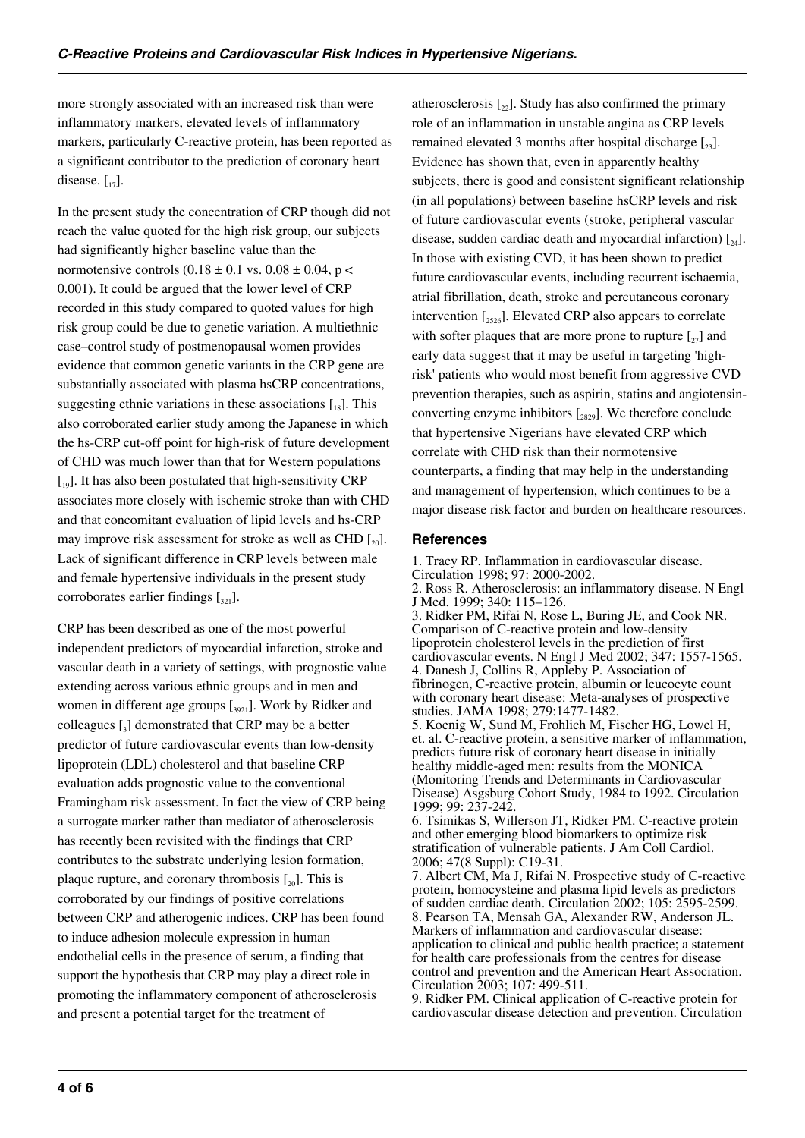more strongly associated with an increased risk than were inflammatory markers, elevated levels of inflammatory markers, particularly C-reactive protein, has been reported as a significant contributor to the prediction of coronary heart disease.  $\begin{bmatrix} 1 \\ 17 \end{bmatrix}$ .

In the present study the concentration of CRP though did not reach the value quoted for the high risk group, our subjects had significantly higher baseline value than the normotensive controls  $(0.18 \pm 0.1 \text{ vs. } 0.08 \pm 0.04, \text{ p} <$ 0.001). It could be argued that the lower level of CRP recorded in this study compared to quoted values for high risk group could be due to genetic variation. A multiethnic case–control study of postmenopausal women provides evidence that common genetic variants in the CRP gene are substantially associated with plasma hsCRP concentrations, suggesting ethnic variations in these associations  $[I_8]$ . This also corroborated earlier study among the Japanese in which the hs-CRP cut-off point for high-risk of future development of CHD was much lower than that for Western populations  $\left[19\right]$ . It has also been postulated that high-sensitivity CRP associates more closely with ischemic stroke than with CHD and that concomitant evaluation of lipid levels and hs-CRP may improve risk assessment for stroke as well as CHD  $\left[\begin{smallmatrix}20\end{smallmatrix}\right]$ . Lack of significant difference in CRP levels between male and female hypertensive individuals in the present study corroborates earlier findings  $\left[\begin{smallmatrix}321\end{smallmatrix}\right]$ .

CRP has been described as one of the most powerful independent predictors of myocardial infarction, stroke and vascular death in a variety of settings, with prognostic value extending across various ethnic groups and in men and women in different age groups  $\left[1,000\right]$ . Work by Ridker and colleagues  $\left[\begin{smallmatrix}3\end{smallmatrix}\right]$  demonstrated that CRP may be a better predictor of future cardiovascular events than low-density lipoprotein (LDL) cholesterol and that baseline CRP evaluation adds prognostic value to the conventional Framingham risk assessment. In fact the view of CRP being a surrogate marker rather than mediator of atherosclerosis has recently been revisited with the findings that CRP contributes to the substrate underlying lesion formation, plaque rupture, and coronary thrombosis  $[20]$ . This is corroborated by our findings of positive correlations between CRP and atherogenic indices. CRP has been found to induce adhesion molecule expression in human endothelial cells in the presence of serum, a finding that support the hypothesis that CRP may play a direct role in promoting the inflammatory component of atherosclerosis and present a potential target for the treatment of

atherosclerosis  $\left[\begin{smallmatrix} 2 \\ 2 \end{smallmatrix}\right]$ . Study has also confirmed the primary role of an inflammation in unstable angina as CRP levels remained elevated 3 months after hospital discharge  $\lceil_{23}\rceil$ . Evidence has shown that, even in apparently healthy subjects, there is good and consistent significant relationship (in all populations) between baseline hsCRP levels and risk of future cardiovascular events (stroke, peripheral vascular disease, sudden cardiac death and myocardial infarction)  $\lceil_{24}\rceil$ . In those with existing CVD, it has been shown to predict future cardiovascular events, including recurrent ischaemia, atrial fibrillation, death, stroke and percutaneous coronary intervention  $\left[2526\right]$ . Elevated CRP also appears to correlate with softer plaques that are more prone to rupture  $\lceil z_7 \rceil$  and early data suggest that it may be useful in targeting 'highrisk' patients who would most benefit from aggressive CVD prevention therapies, such as aspirin, statins and angiotensinconverting enzyme inhibitors  $[2829]$ . We therefore conclude that hypertensive Nigerians have elevated CRP which correlate with CHD risk than their normotensive counterparts, a finding that may help in the understanding and management of hypertension, which continues to be a major disease risk factor and burden on healthcare resources.

#### **References**

1. Tracy RP. Inflammation in cardiovascular disease. Circulation 1998; 97: 2000-2002. 2. Ross R. Atherosclerosis: an inflammatory disease. N Engl J Med. 1999; 340: 115–126. 3. Ridker PM, Rifai N, Rose L, Buring JE, and Cook NR. Comparison of C-reactive protein and low-density lipoprotein cholesterol levels in the prediction of first cardiovascular events. N Engl J Med 2002; 347: 1557-1565. 4. Danesh J, Collins R, Appleby P. Association of fibrinogen, C-reactive protein, albumin or leucocyte count with coronary heart disease: Meta-analyses of prospective studies. JAMA 1998; 279:1477-1482. 5. Koenig W, Sund M, Frohlich M, Fischer HG, Lowel H, et. al. C-reactive protein, a sensitive marker of inflammation, predicts future risk of coronary heart disease in initially healthy middle-aged men: results from the MONICA (Monitoring Trends and Determinants in Cardiovascular Disease) Asgsburg Cohort Study, 1984 to 1992. Circulation 1999; 99: 237-242.

6. Tsimikas S, Willerson JT, Ridker PM. C-reactive protein and other emerging blood biomarkers to optimize risk stratification of vulnerable patients. J Am Coll Cardiol. 2006; 47(8 Suppl): C19-31.

7. Albert CM, Ma J, Rifai N. Prospective study of C-reactive protein, homocysteine and plasma lipid levels as predictors of sudden cardiac death. Circulation 2002; 105: 2595-2599. 8. Pearson TA, Mensah GA, Alexander RW, Anderson JL. Markers of inflammation and cardiovascular disease: application to clinical and public health practice; a statement for health care professionals from the centres for disease control and prevention and the American Heart Association. Circulation 2003; 107: 499-511.

9. Ridker PM. Clinical application of C-reactive protein for cardiovascular disease detection and prevention. Circulation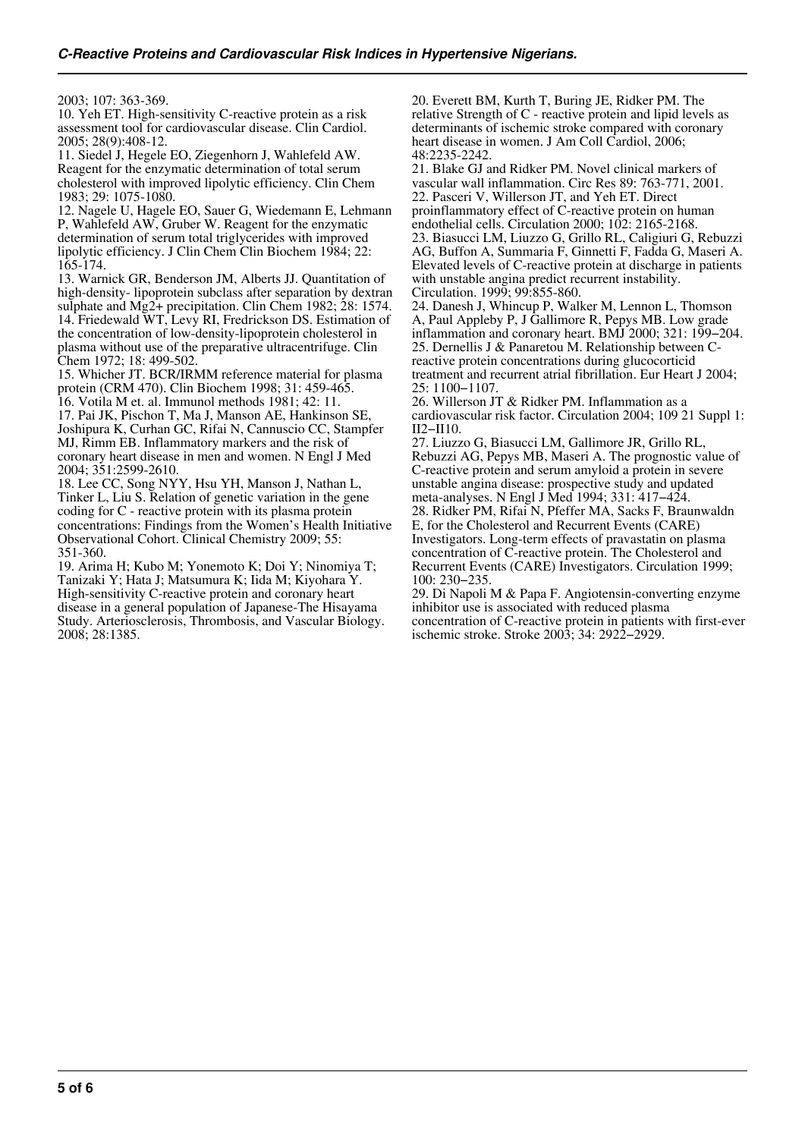2003; 107: 363-369.

10. Yeh ET. High-sensitivity C-reactive protein as a risk assessment tool for cardiovascular disease. Clin Cardiol. 2005; 28(9):408-12.

11. Siedel J, Hegele EO, Ziegenhorn J, Wahlefeld AW. Reagent for the enzymatic determination of total serum cholesterol with improved lipolytic efficiency. Clin Chem 1983; 29: 1075-1080.

12. Nagele U, Hagele EO, Sauer G, Wiedemann E, Lehmann P, Wahlefeld AW, Gruber W. Reagent for the enzymatic determination of serum total triglycerides with improved lipolytic efficiency. J Clin Chem Clin Biochem 1984; 22: 165-174.

13. Warnick GR, Benderson JM, Alberts JJ. Quantitation of high-density- lipoprotein subclass after separation by dextran sulphate and Mg2+ precipitation. Clin Chem 1982; 28: 1574. 14. Friedewald WT, Levy RI, Fredrickson DS. Estimation of the concentration of low-density-lipoprotein cholesterol in plasma without use of the preparative ultracentrifuge. Clin Chem 1972; 18: 499-502.

15. Whicher JT. BCR/IRMM reference material for plasma protein (CRM 470). Clin Biochem 1998; 31: 459-465. 16. Votila M et. al. Immunol methods 1981; 42: 11.

17. Pai JK, Pischon T, Ma J, Manson AE, Hankinson SE, Joshipura K, Curhan GC, Rifai N, Cannuscio CC, Stampfer MJ, Rimm EB. Inflammatory markers and the risk of coronary heart disease in men and women. N Engl J Med 2004; 351:2599-2610.

18. Lee CC, Song NYY, Hsu YH, Manson J, Nathan L, Tinker L, Liu S. Relation of genetic variation in the gene coding for C - reactive protein with its plasma protein concentrations: Findings from the Women's Health Initiative Observational Cohort. Clinical Chemistry 2009; 55: 351-360.

19. Arima H; Kubo M; Yonemoto K; Doi Y; Ninomiya T; Tanizaki Y; Hata J; Matsumura K; Iida M; Kiyohara Y. High-sensitivity C-reactive protein and coronary heart disease in a general population of Japanese-The Hisayama Study. Arteriosclerosis, Thrombosis, and Vascular Biology. 2008; 28:1385.

20. Everett BM, Kurth T, Buring JE, Ridker PM. The relative Strength of C - reactive protein and lipid levels as determinants of ischemic stroke compared with coronary heart disease in women. J Am Coll Cardiol, 2006; 48:2235-2242.

21. Blake GJ and Ridker PM. Novel clinical markers of vascular wall inflammation. Circ Res 89: 763-771, 2001. 22. Pasceri V, Willerson JT, and Yeh ET. Direct proinflammatory effect of C-reactive protein on human endothelial cells. Circulation 2000; 102: 2165-2168. 23. Biasucci LM, Liuzzo G, Grillo RL, Caligiuri G, Rebuzzi AG, Buffon A, Summaria F, Ginnetti F, Fadda G, Maseri A. Elevated levels of C-reactive protein at discharge in patients with unstable angina predict recurrent instability. Circulation. 1999; 99:855-860.

24. Danesh J, Whincup P, Walker M, Lennon L, Thomson A, Paul Appleby P, J Gallimore R, Pepys MB. Low grade inflammation and coronary heart. BMJ 2000; 321: 199−204. 25. Dernellis J & Panaretou M. Relationship between Creactive protein concentrations during glucocorticid treatment and recurrent atrial fibrillation. Eur Heart J 2004; 25: 1100−1107.

26. Willerson JT & Ridker PM. Inflammation as a cardiovascular risk factor. Circulation 2004; 109 21 Suppl 1: II2−II10.

27. Liuzzo G, Biasucci LM, Gallimore JR, Grillo RL, Rebuzzi AG, Pepys MB, Maseri A. The prognostic value of C-reactive protein and serum amyloid a protein in severe unstable angina disease: prospective study and updated meta-analyses. N Engl J Med 1994; 331: 417−424. 28. Ridker PM, Rifai N, Pfeffer MA, Sacks F, Braunwaldn E, for the Cholesterol and Recurrent Events (CARE) Investigators. Long-term effects of pravastatin on plasma concentration of C-reactive protein. The Cholesterol and Recurrent Events (CARE) Investigators. Circulation 1999; 100: 230−235.

29. Di Napoli M & Papa F. Angiotensin-converting enzyme inhibitor use is associated with reduced plasma concentration of C-reactive protein in patients with first-ever ischemic stroke. Stroke 2003; 34: 2922−2929.